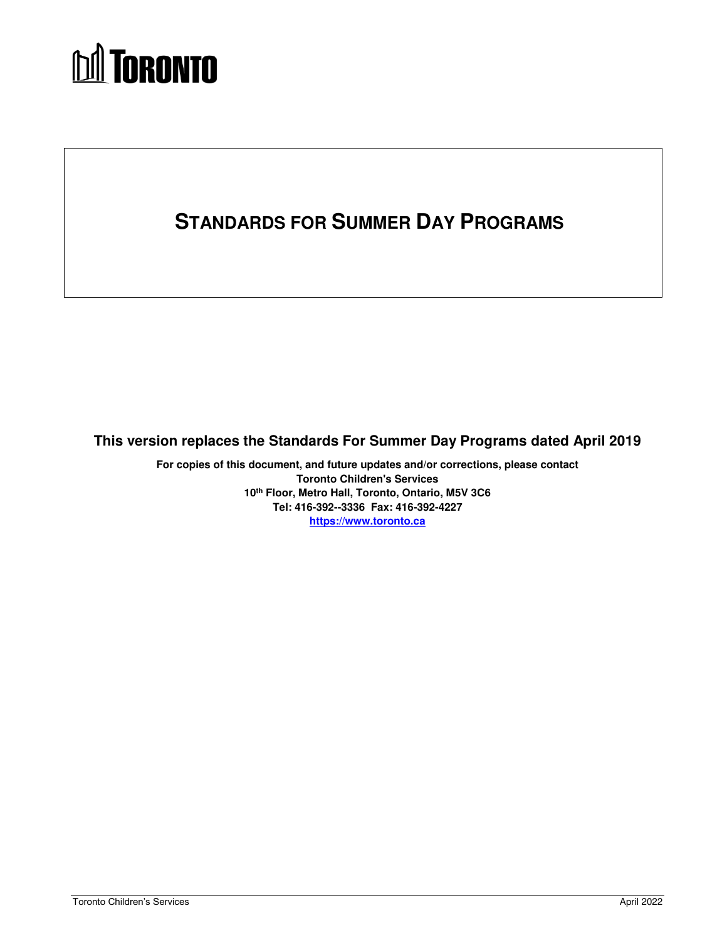# **MA** TORONTO

# **STANDARDS FOR SUMMER DAY PROGRAMS**

## **This version replaces the Standards For Summer Day Programs dated April 2019**

 **For copies of this document, and future updates and/or corrections, please contact 10th Floor, Metro Hall, Toronto, Ontario, M5V 3C6 Tel: 416-392--3336 Fax: 416-392-4227 Toronto Children's Services [https://www.toronto.ca](https://www.toronto.ca/community-people/community-partners/early-learning-child-care-partners/financial-information/)**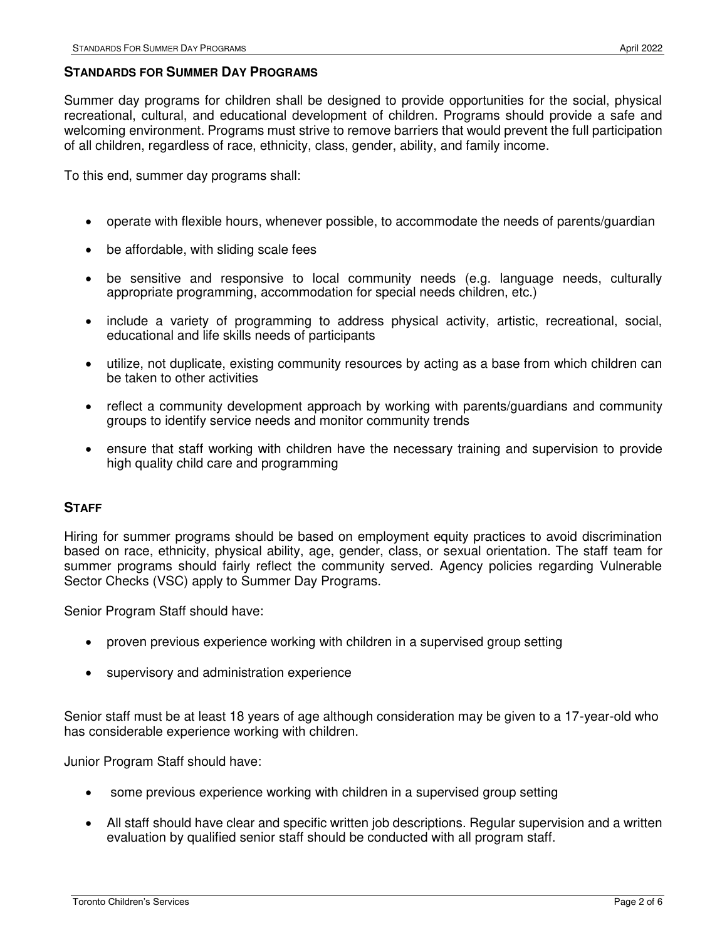#### **STANDARDS FOR SUMMER DAY PROGRAMS**

 Summer day programs for children shall be designed to provide opportunities for the social, physical recreational, cultural, and educational development of children. Programs should provide a safe and welcoming environment. Programs must strive to remove barriers that would prevent the full participation of all children, regardless of race, ethnicity, class, gender, ability, and family income.

To this end, summer day programs shall:

- $\bullet$ operate with flexible hours, whenever possible, to accommodate the needs of parents/guardian
- be affordable, with sliding scale fees
- appropriate programming, accommodation for special needs children, etc.) be sensitive and responsive to local community needs (e.g. language needs, culturally
- include a variety of programming to address physical activity, artistic, recreational, social, educational and life skills needs of participants
- utilize, not duplicate, existing community resources by acting as a base from which children can be taken to other activities
- groups to identify service needs and monitor community trends reflect a community development approach by working with parents/guardians and community
- high quality child care and programming ensure that staff working with children have the necessary training and supervision to provide

#### **STAFF**

 Hiring for summer programs should be based on employment equity practices to avoid discrimination based on race, ethnicity, physical ability, age, gender, class, or sexual orientation. The staff team for summer programs should fairly reflect the community served. Agency policies regarding Vulnerable Sector Checks (VSC) apply to Summer Day Programs.

Senior Program Staff should have:

- proven previous experience working with children in a supervised group setting
- supervisory and administration experience

 Senior staff must be at least 18 years of age although consideration may be given to a 17-year-old who has considerable experience working with children.

Junior Program Staff should have:

- some previous experience working with children in a supervised group setting
- All staff should have clear and specific written job descriptions. Regular supervision and a written evaluation by qualified senior staff should be conducted with all program staff.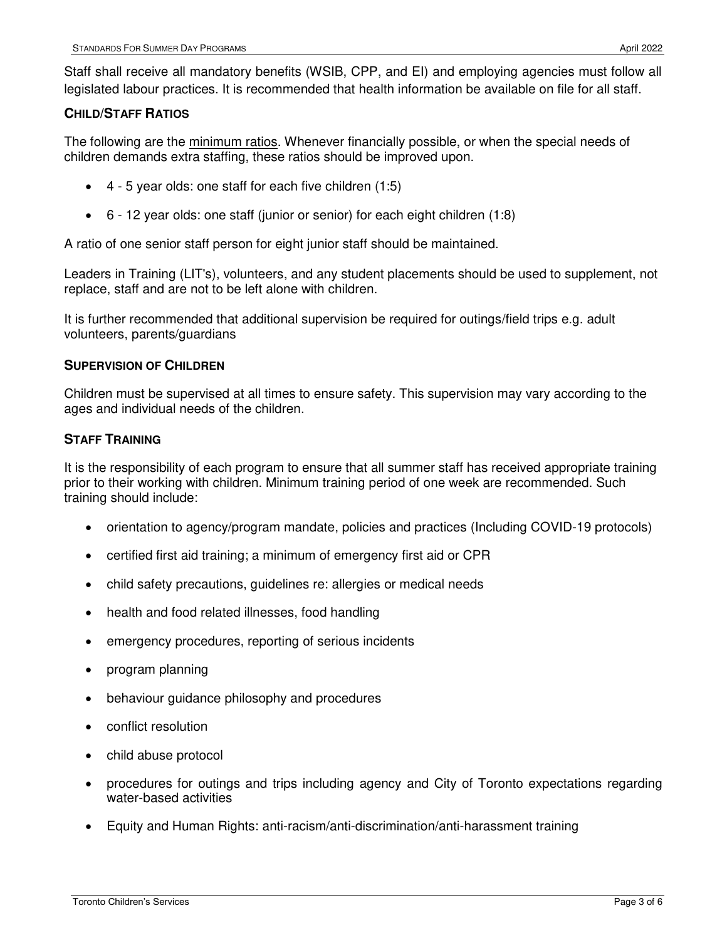Staff shall receive all mandatory benefits (WSIB, CPP, and EI) and employing agencies must follow all legislated labour practices. It is recommended that health information be available on file for all staff.

#### **CHILD/STAFF RATIOS**

The following are the minimum ratios. Whenever financially possible, or when the special needs of children demands extra staffing, these ratios should be improved upon.

- 4 5 year olds: one staff for each five children (1:5)
- 6 12 year olds: one staff (junior or senior) for each eight children (1:8)

A ratio of one senior staff person for eight junior staff should be maintained.

 Leaders in Training (LIT's), volunteers, and any student placements should be used to supplement, not replace, staff and are not to be left alone with children.

 It is further recommended that additional supervision be required for outings/field trips e.g. adult volunteers, parents/guardians

#### **SUPERVISION OF CHILDREN**

 Children must be supervised at all times to ensure safety. This supervision may vary according to the ages and individual needs of the children.

#### **STAFF TRAINING**

 It is the responsibility of each program to ensure that all summer staff has received appropriate training prior to their working with children. Minimum training period of one week are recommended. Such training should include:

- orientation to agency/program mandate, policies and practices (Including COVID-19 protocols)
- certified first aid training; a minimum of emergency first aid or CPR
- child safety precautions, guidelines re: allergies or medical needs
- health and food related illnesses, food handling
- **•** emergency procedures, reporting of serious incidents
- program planning
- behaviour guidance philosophy and procedures
- conflict resolution
- child abuse protocol
- procedures for outings and trips including agency and City of Toronto expectations regarding water-based activities
- Equity and Human Rights: anti-racism/anti-discrimination/anti-harassment training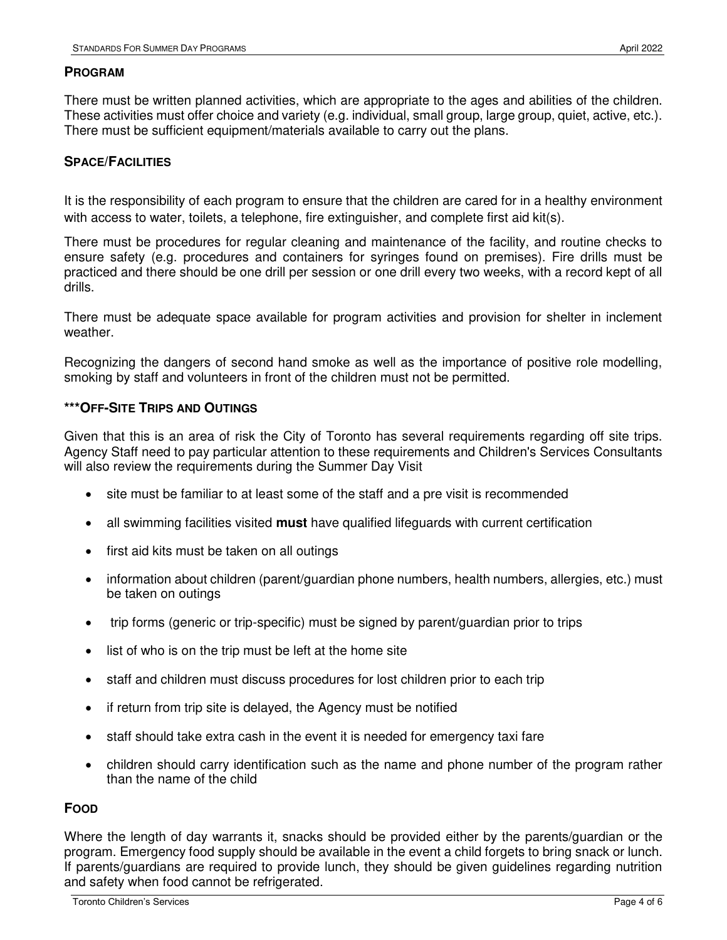#### **PROGRAM**

 There must be written planned activities, which are appropriate to the ages and abilities of the children. These activities must offer choice and variety (e.g. individual, small group, large group, quiet, active, etc.). There must be sufficient equipment/materials available to carry out the plans.

#### **SPACE/FACILITIES**

 It is the responsibility of each program to ensure that the children are cared for in a healthy environment with access to water, toilets, a telephone, fire extinguisher, and complete first aid kit(s).

 There must be procedures for regular cleaning and maintenance of the facility, and routine checks to ensure safety (e.g. procedures and containers for syringes found on premises). Fire drills must be practiced and there should be one drill per session or one drill every two weeks, with a record kept of all drills.

drills.<br>There must be adequate space available for program activities and provision for shelter in inclement weather.

 Recognizing the dangers of second hand smoke as well as the importance of positive role modelling, smoking by staff and volunteers in front of the children must not be permitted.

#### **\*\*\*OFF-SITE TRIPS AND OUTINGS**

 Given that this is an area of risk the City of Toronto has several requirements regarding off site trips. Agency Staff need to pay particular attention to these requirements and Children's Services Consultants will also review the requirements during the Summer Day Visit

- site must be familiar to at least some of the staff and a pre visit is recommended
- all swimming facilities visited **must** have qualified lifeguards with current certification
- first aid kits must be taken on all outings
- information about children (parent/guardian phone numbers, health numbers, allergies, etc.) must be taken on outings
- $\bullet$ trip forms (generic or trip-specific) must be signed by parent/guardian prior to trips
- list of who is on the trip must be left at the home site
- staff and children must discuss procedures for lost children prior to each trip
- if return from trip site is delayed, the Agency must be notified
- staff should take extra cash in the event it is needed for emergency taxi fare
- children should carry identification such as the name and phone number of the program rather than the name of the child

#### **FOOD**

 Where the length of day warrants it, snacks should be provided either by the parents/guardian or the program. Emergency food supply should be available in the event a child forgets to bring snack or lunch. If parents/guardians are required to provide lunch, they should be given guidelines regarding nutrition and safety when food cannot be refrigerated.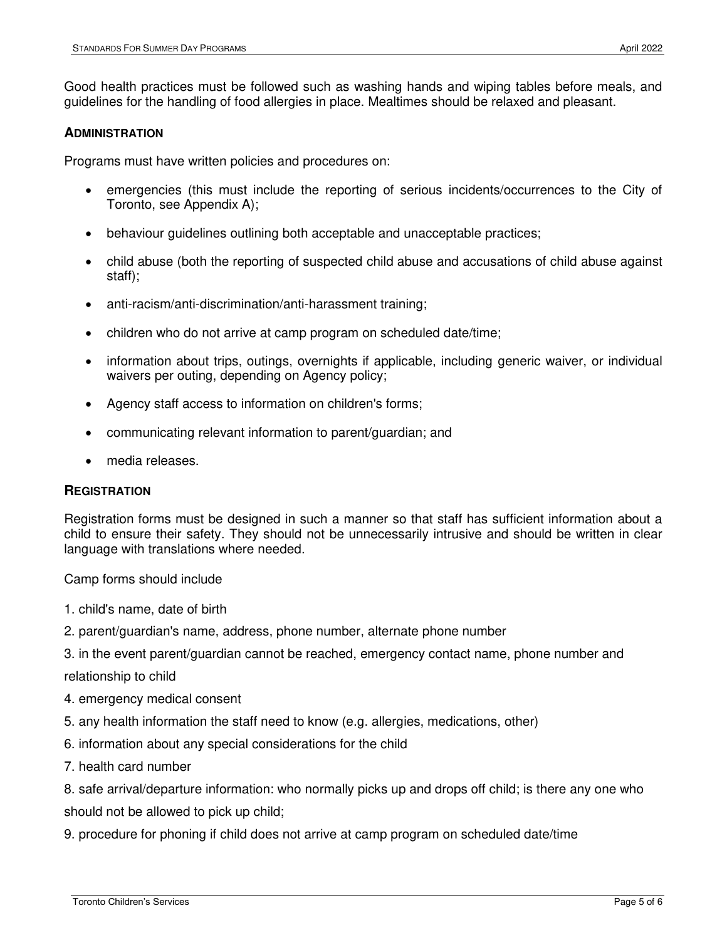Good health practices must be followed such as washing hands and wiping tables before meals, and guidelines for the handling of food allergies in place. Mealtimes should be relaxed and pleasant.

#### **ADMINISTRATION**

Programs must have written policies and procedures on:

- emergencies (this must include the reporting of serious incidents/occurrences to the City of Toronto, see Appendix A);
- behaviour guidelines outlining both acceptable and unacceptable practices;
- child abuse (both the reporting of suspected child abuse and accusations of child abuse against staff);
- anti-racism/anti-discrimination/anti-harassment training;
- children who do not arrive at camp program on scheduled date/time;
- information about trips, outings, overnights if applicable, including generic waiver, or individual waivers per outing, depending on Agency policy;
- Agency staff access to information on children's forms;
- communicating relevant information to parent/guardian; and
- media releases.

#### **REGISTRATION**

 Registration forms must be designed in such a manner so that staff has sufficient information about a child to ensure their safety. They should not be unnecessarily intrusive and should be written in clear language with translations where needed.<br>Camp forms should include

- 1. child's name, date of birth
- 2. parent/guardian's name, address, phone number, alternate phone number
- 3. in the event parent/guardian cannot be reached, emergency contact name, phone number and relationship to child
- 4. emergency medical consent
- 5. any health information the staff need to know (e.g. allergies, medications, other)
- 6. information about any special considerations for the child
- 7. health card number

 8. safe arrival/departure information: who normally picks up and drops off child; is there any one who should not be allowed to pick up child;

9. procedure for phoning if child does not arrive at camp program on scheduled date/time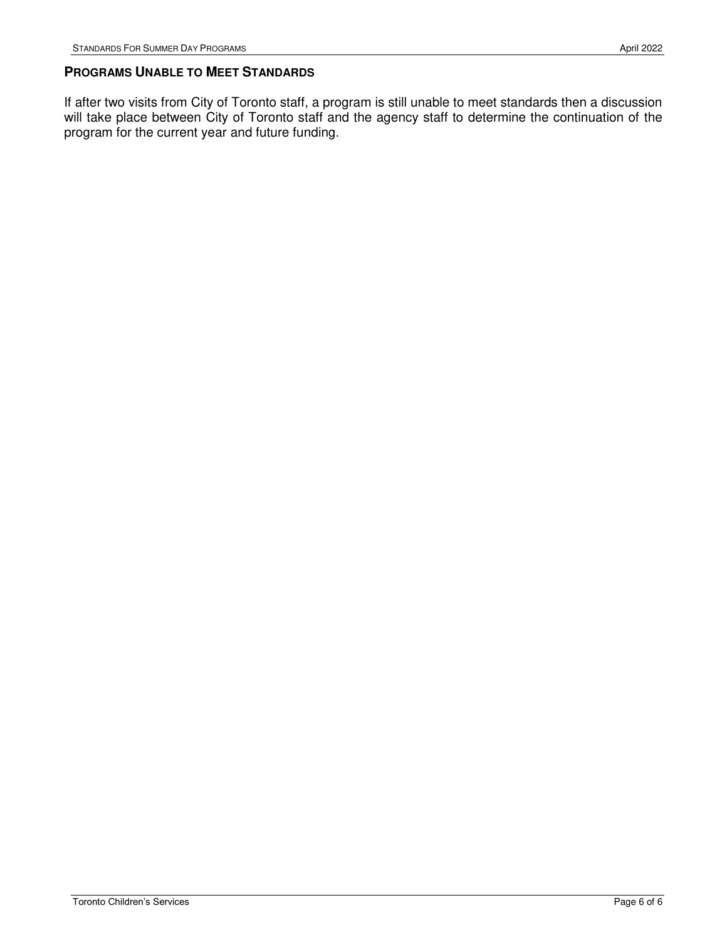#### **PROGRAMS UNABLE TO MEET STANDARDS**

 If after two visits from City of Toronto staff, a program is still unable to meet standards then a discussion will take place between City of Toronto staff and the agency staff to determine the continuation of the program for the current year and future funding.